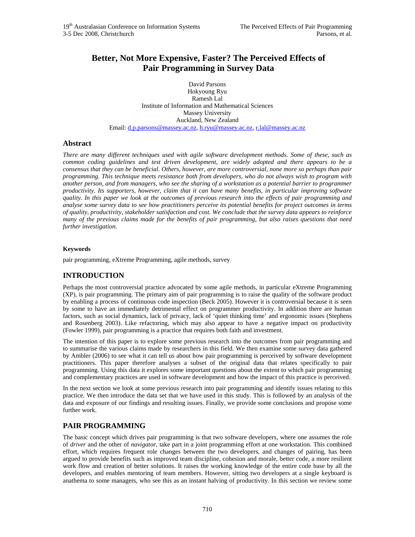# **Better, Not More Expensive, Faster? The Perceived Effects of Pair Programming in Survey Data**

David Parsons Hokyoung Ryu Ramesh Lal Institute of Information and Mathematical Sciences Massey University Auckland, New Zealand Email: d.p.parsons@massey.ac.nz, h.ryu@massey.ac.nz, r.lal@massey.ac.nz

## **Abstract**

*There are many different techniques used with agile software development methods. Some of these, such as common coding guidelines and test driven development, are widely adopted and there appears to be a consensus that they can be beneficial. Others, however, are more controversial, none more so perhaps than pair programming. This technique meets resistance both from developers, who do not always wish to program with another person, and from managers, who see the sharing of a workstation as a potential barrier to programmer productivity. Its supporters, however, claim that it can have many benefits, in particular improving software quality. In this paper we look at the outcomes of previous research into the effects of pair programming and analyse some survey data to see how practitioners perceive its potential benefits for project outcomes in terms of quality, productivity, stakeholder satisfaction and cost. We conclude that the survey data appears to reinforce many of the previous claims made for the benefits of pair programming, but also raises questions that need further investigation.* 

### **Keywords**

pair programming, eXtreme Programming, agile methods, survey

## **INTRODUCTION**

Perhaps the most controversial practice advocated by some agile methods, in particular eXtreme Programming (XP), is pair programming. The primary aim of pair programming is to raise the quality of the software product by enabling a process of continuous code inspection (Beck 2005). However it is controversial because it is seen by some to have an immediately detrimental effect on programmer productivity. In addition there are human factors, such as social dynamics, lack of privacy, lack of 'quiet thinking time' and ergonomic issues (Stephens and Rosenberg 2003). Like refactoring, which may also appear to have a negative impact on productivity (Fowler 1999), pair programming is a practice that requires both faith and investment.

The intention of this paper is to explore some previous research into the outcomes from pair programming and to summarise the various claims made by researchers in this field. We then examine some survey data gathered by Ambler (2006) to see what it can tell us about how pair programming is perceived by software development practitioners. This paper therefore analyses a subset of the original data that relates specifically to pair programming. Using this data it explores some important questions about the extent to which pair programming and complementary practices are used in software development and how the impact of this practice is perceived.

In the next section we look at some previous research into pair programming and identify issues relating to this practice. We then introduce the data set that we have used in this study. This is followed by an analysis of the data and exposure of our findings and resulting issues. Finally, we provide some conclusions and propose some further work.

## **PAIR PROGRAMMING**

The basic concept which drives pair programming is that two software developers, where one assumes the role of *driver* and the other of *navigator*, take part in a joint programming effort at one workstation. This combined effort, which requires frequent role changes between the two developers, and changes of pairing, has been argued to provide benefits such as improved team discipline, cohesion and morale, better code, a more resilient work flow and creation of better solutions. It raises the working knowledge of the entire code base by all the developers, and enables mentoring of team members. However, sitting two developers at a single keyboard is anathema to some managers, who see this as an instant halving of productivity. In this section we review some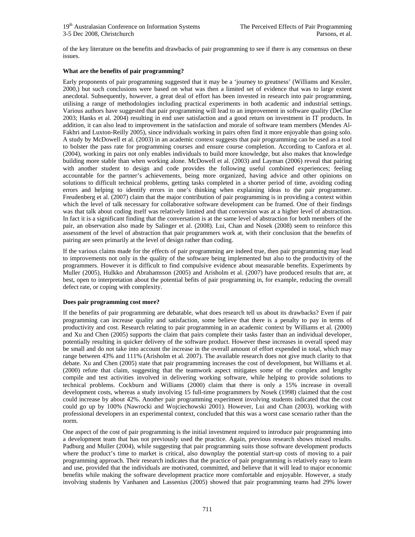of the key literature on the benefits and drawbacks of pair programming to see if there is any consensus on these issues.

### **What are the benefits of pair programming?**

Early proponents of pair programming suggested that it may be a 'journey to greatness' (Williams and Kessler, 2000,) but such conclusions were based on what was then a limited set of evidence that was to large extent anecdotal. Subsequently, however, a great deal of effort has been invested in research into pair programming, utilising a range of methodologies including practical experiments in both academic and industrial settings. Various authors have suggested that pair programming will lead to an improvement in software quality (DeClue 2003; Hanks et al. 2004) resulting in end user satisfaction and a good return on investment in IT products. In addition, it can also lead to improvement in the satisfaction and morale of software team members (Mendes Al-Fakhri and Luxton-Reilly 2005), since individuals working in pairs often find it more enjoyable than going solo. A study by McDowell et al. (2003) in an academic context suggests that pair programming can be used as a tool to bolster the pass rate for programming courses and ensure course completion. According to Canfora et al. (2004), working in pairs not only enables individuals to build more knowledge, but also makes that knowledge building more stable than when working alone. McDowell et al. (2003) and Layman (2006) reveal that pairing with another student to design and code provides the following useful combined experiences; feeling accountable for the partner's achievements, being more organized, having advice and other opinions on solutions to difficult technical problems, getting tasks completed in a shorter period of time, avoiding coding errors and helping to identify errors in one's thinking when explaining ideas to the pair programmer. Freudenberg et al. (2007) claim that the major contribution of pair programming is in providing a context within which the level of talk necessary for collaborative software development can be framed. One of their findings was that talk about coding itself was relatively limited and that conversion was at a higher level of abstraction. In fact it is a significant finding that the conversation is at the same level of abstraction for both members of the pair, an observation also made by Salinger et al. (2008). Lui, Chan and Nosek (2008) seem to reinforce this assessment of the level of abstraction that pair programmers work at, with their conclusion that the benefits of pairing are seen primarily at the level of design rather than coding.

If the various claims made for the effects of pair programming are indeed true, then pair programming may lead to improvements not only in the quality of the software being implemented but also to the productivity of the programmers. However it is difficult to find compulsive evidence about measurable benefits. Experiments by Muller (2005), Hulkko and Abrahamsson (2005) and Arisholm et al. (2007) have produced results that are, at best, open to interpretation about the potential befits of pair programming in, for example, reducing the overall defect rate, or coping with complexity.

### **Does pair programming cost more?**

If the benefits of pair programming are debatable, what does research tell us about its drawbacks? Even if pair programming can increase quality and satisfaction, some believe that there is a penalty to pay in terms of productivity and cost. Research relating to pair programming in an academic context by Williams et al. (2000) and Xu and Chen (2005) supports the claim that pairs complete their tasks faster than an individual developer, potentially resulting in quicker delivery of the software product. However these increases in overall speed may be small and do not take into account the increase in the overall amount of effort expended in total, which may range between 43% and 111% (Arisholm et al. 2007). The available research does not give much clarity to that debate. Xu and Chen (2005) state that pair programming increases the cost of development, but Williams et al. (2000) refute that claim, suggesting that the teamwork aspect mitigates some of the complex and lengthy compile and test activities involved in delivering working software, while helping to provide solutions to technical problems. Cockburn and Williams (2000) claim that there is only a 15% increase in overall development costs, whereas a study involving 15 full-time programmers by Nosek (1998) claimed that the cost could increase by about 42%. Another pair programming experiment involving students indicated that the cost could go up by 100% (Nawrocki and Wojciechowski 2001). However, Lui and Chan (2003), working with professional developers in an experimental context, concluded that this was a worst case scenario rather than the norm.

One aspect of the cost of pair programming is the initial investment required to introduce pair programming into a development team that has not previously used the practice. Again, previous research shows mixed results. Padburg and Muller (2004), while suggesting that pair programming suits those software development products where the product's time to market is critical, also downplay the potential start-up costs of moving to a pair programming approach. Their research indicates that the practice of pair programming is relatively easy to learn and use, provided that the individuals are motivated, committed, and believe that it will lead to major economic benefits while making the software development practice more comfortable and enjoyable. However, a study involving students by Vanhanen and Lassenius (2005) showed that pair programming teams had 29% lower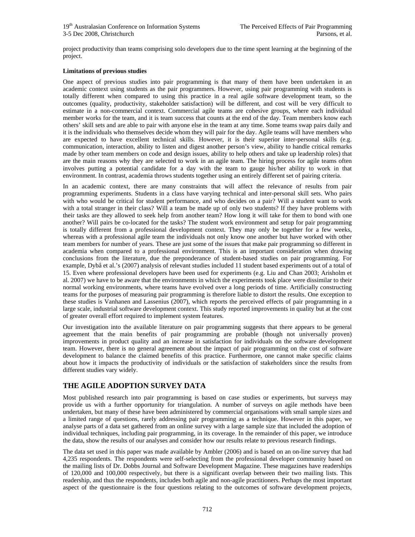project productivity than teams comprising solo developers due to the time spent learning at the beginning of the project.

### **Limitations of previous studies**

One aspect of previous studies into pair programming is that many of them have been undertaken in an academic context using students as the pair programmers. However, using pair programming with students is totally different when compared to using this practice in a real agile software development team, so the outcomes (quality, productivity, stakeholder satisfaction) will be different, and cost will be very difficult to estimate in a non-commercial context. Commercial agile teams are cohesive groups, where each individual member works for the team, and it is team success that counts at the end of the day. Team members know each others' skill sets and are able to pair with anyone else in the team at any time. Some teams swap pairs daily and it is the individuals who themselves decide whom they will pair for the day. Agile teams will have members who are expected to have excellent technical skills. However, it is their superior inter-personal skills (e.g. communication, interaction, ability to listen and digest another person's view, ability to handle critical remarks made by other team members on code and design issues, ability to help others and take up leadership roles) that are the main reasons why they are selected to work in an agile team. The hiring process for agile teams often involves putting a potential candidate for a day with the team to gauge his/her ability to work in that environment. In contrast, academia throws students together using an entirely different set of pairing criteria.

In an academic context, there are many constraints that will affect the relevance of results from pair programming experiments. Students in a class have varying technical and inter-personal skill sets. Who pairs with who would be critical for student performance, and who decides on a pair? Will a student want to work with a total stranger in their class? Will a team be made up of only two students? If they have problems with their tasks are they allowed to seek help from another team? How long it will take for them to bond with one another? Will pairs be co-located for the tasks? The student work environment and setup for pair programming is totally different from a professional development context. They may only be together for a few weeks, whereas with a professional agile team the individuals not only know one another but have worked with other team members for number of years. These are just some of the issues that make pair programming so different in academia when compared to a professional environment. This is an important consideration when drawing conclusions from the literature, due the preponderance of student-based studies on pair programming. For example, Dybå et al.'s (2007) analysis of relevant studies included 11 student based experiments out of a total of 15. Even where professional developers have been used for experiments (e.g. Liu and Chan 2003; Arisholm et al. 2007) we have to be aware that the environments in which the experiments took place were dissimilar to their normal working environments, where teams have evolved over a long periods of time. Artificially constructing teams for the purposes of measuring pair programming is therefore liable to distort the results. One exception to these studies is Vanhanen and Lassenius (2007), which reports the perceived effects of pair programming in a large scale, industrial software development context. This study reported improvements in quality but at the cost of greater overall effort required to implement system features.

Our investigation into the available literature on pair programming suggests that there appears to be general agreement that the main benefits of pair programming are probable (though not universally proven) improvements in product quality and an increase in satisfaction for individuals on the software development team. However, there is no general agreement about the impact of pair programming on the cost of software development to balance the claimed benefits of this practice. Furthermore, one cannot make specific claims about how it impacts the productivity of individuals or the satisfaction of stakeholders since the results from different studies vary widely.

## **THE AGILE ADOPTION SURVEY DATA**

Most published research into pair programming is based on case studies or experiments, but surveys may provide us with a further opportunity for triangulation. A number of surveys on agile methods have been undertaken, but many of these have been administered by commercial organisations with small sample sizes and a limited range of questions, rarely addressing pair programming as a technique. However in this paper, we analyse parts of a data set gathered from an online survey with a large sample size that included the adoption of individual techniques, including pair programming, in its coverage. In the remainder of this paper, we introduce the data, show the results of our analyses and consider how our results relate to previous research findings.

The data set used in this paper was made available by Ambler (2006) and is based on an on-line survey that had 4,235 respondents. The respondents were self-selecting from the professional developer community based on the mailing lists of Dr. Dobbs Journal and Software Development Magazine. These magazines have readerships of 120,000 and 100,000 respectively, but there is a significant overlap between their two mailing lists. This readership, and thus the respondents, includes both agile and non-agile practitioners. Perhaps the most important aspect of the questionnaire is the four questions relating to the outcomes of software development projects,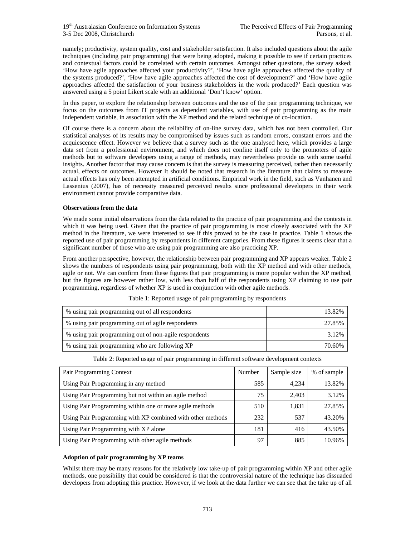namely; productivity, system quality, cost and stakeholder satisfaction. It also included questions about the agile techniques (including pair programming) that were being adopted, making it possible to see if certain practices and contextual factors could be correlated with certain outcomes. Amongst other questions, the survey asked; 'How have agile approaches affected your productivity?', 'How have agile approaches affected the quality of the systems produced?', 'How have agile approaches affected the cost of development?' and 'How have agile approaches affected the satisfaction of your business stakeholders in the work produced?' Each question was answered using a 5 point Likert scale with an additional 'Don't know' option.

In this paper, to explore the relationship between outcomes and the use of the pair programming technique, we focus on the outcomes from IT projects as dependent variables, with use of pair programming as the main independent variable, in association with the XP method and the related technique of co-location.

Of course there is a concern about the reliability of on-line survey data, which has not been controlled. Our statistical analyses of its results may be compromised by issues such as random errors, constant errors and the acquiescence effect. However we believe that a survey such as the one analysed here, which provides a large data set from a professional environment, and which does not confine itself only to the promoters of agile methods but to software developers using a range of methods, may nevertheless provide us with some useful insights. Another factor that may cause concern is that the survey is measuring perceived, rather then necessarily actual, effects on outcomes. However It should be noted that research in the literature that claims to measure actual effects has only been attempted in artificial conditions. Empirical work in the field, such as Vanhanen and Lassenius (2007), has of necessity measured perceived results since professional developers in their work environment cannot provide comparative data.

### **Observations from the data**

We made some initial observations from the data related to the practice of pair programming and the contexts in which it was being used. Given that the practice of pair programming is most closely associated with the XP method in the literature, we were interested to see if this proved to be the case in practice. Table 1 shows the reported use of pair programming by respondents in different categories. From these figures it seems clear that a significant number of those who are using pair programming are also practicing XP.

From another perspective, however, the relationship between pair programming and XP appears weaker. Table 2 shows the numbers of respondents using pair programming, both with the XP method and with other methods, agile or not. We can confirm from these figures that pair programming is more popular within the XP method, but the figures are however rather low, with less than half of the respondents using XP claiming to use pair programming, regardless of whether XP is used in conjunction with other agile methods.

| % using pair programming out of all respondents       | 13.82% |
|-------------------------------------------------------|--------|
| % using pair programming out of agile respondents     | 27.85% |
| % using pair programming out of non-agile respondents | 3.12%  |
| % using pair programming who are following XP         | 70.60% |

| Table 1: Reported usage of pair programming by respondents |  |
|------------------------------------------------------------|--|

|  |  | Table 2: Reported usage of pair programming in different software development contexts |  |
|--|--|----------------------------------------------------------------------------------------|--|
|  |  |                                                                                        |  |

| Pair Programming Context                                   | Number | Sample size | % of sample |
|------------------------------------------------------------|--------|-------------|-------------|
| Using Pair Programming in any method                       | 585    | 4.234       | 13.82%      |
| Using Pair Programming but not within an agile method      | 75     | 2,403       | 3.12%       |
| Using Pair Programming within one or more agile methods    | 510    | 1,831       | 27.85%      |
| Using Pair Programming with XP combined with other methods | 232    | 537         | 43.20%      |
| Using Pair Programming with XP alone                       | 181    | 416         | 43.50%      |
| Using Pair Programming with other agile methods            | 97     | 885         | 10.96%      |

### **Adoption of pair programming by XP teams**

Whilst there may be many reasons for the relatively low take-up of pair programming within XP and other agile methods, one possibility that could be considered is that the controversial nature of the technique has dissuaded developers from adopting this practice. However, if we look at the data further we can see that the take up of all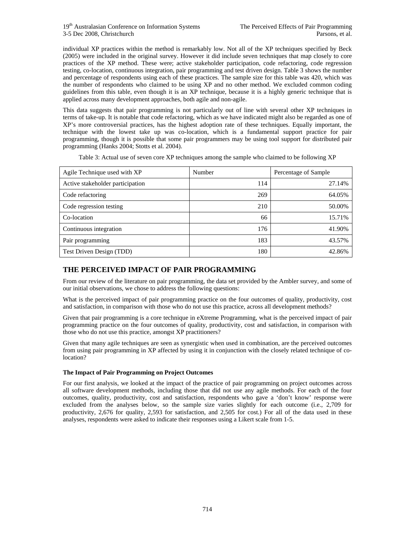individual XP practices within the method is remarkably low. Not all of the XP techniques specified by Beck (2005) were included in the original survey. However it did include seven techniques that map closely to core practices of the XP method. These were; active stakeholder participation, code refactoring, code regression testing, co-location, continuous integration, pair programming and test driven design. Table 3 shows the number and percentage of respondents using each of these practices. The sample size for this table was 420, which was the number of respondents who claimed to be using XP and no other method. We excluded common coding guidelines from this table, even though it is an XP technique, because it is a highly generic technique that is applied across many development approaches, both agile and non-agile.

This data suggests that pair programming is not particularly out of line with several other XP techniques in terms of take-up. It is notable that code refactoring, which as we have indicated might also be regarded as one of XP's more controversial practices, has the highest adoption rate of these techniques. Equally important, the technique with the lowest take up was co-location, which is a fundamental support practice for pair programming, though it is possible that some pair programmers may be using tool support for distributed pair programming (Hanks 2004; Stotts et al. 2004).

Table 3: Actual use of seven core XP techniques among the sample who claimed to be following XP

| Agile Technique used with XP     | Number | Percentage of Sample |
|----------------------------------|--------|----------------------|
| Active stakeholder participation | 114    | 27.14%               |
| Code refactoring                 | 269    | 64.05%               |
| Code regression testing          | 210    | 50.00%               |
| Co-location                      | 66     | 15.71%               |
| Continuous integration           | 176    | 41.90%               |
| Pair programming                 | 183    | 43.57%               |
| Test Driven Design (TDD)         | 180    | 42.86%               |

## **THE PERCEIVED IMPACT OF PAIR PROGRAMMING**

From our review of the literature on pair programming, the data set provided by the Ambler survey, and some of our initial observations, we chose to address the following questions:

What is the perceived impact of pair programming practice on the four outcomes of quality, productivity, cost and satisfaction, in comparison with those who do not use this practice, across all development methods?

Given that pair programming is a core technique in eXtreme Programming, what is the perceived impact of pair programming practice on the four outcomes of quality, productivity, cost and satisfaction, in comparison with those who do not use this practice, amongst XP practitioners?

Given that many agile techniques are seen as synergistic when used in combination, are the perceived outcomes from using pair programming in XP affected by using it in conjunction with the closely related technique of colocation?

### **The Impact of Pair Programming on Project Outcomes**

For our first analysis, we looked at the impact of the practice of pair programming on project outcomes across all software development methods, including those that did not use any agile methods. For each of the four outcomes, quality, productivity, cost and satisfaction, respondents who gave a 'don't know' response were excluded from the analyses below, so the sample size varies slightly for each outcome (i.e., 2,709 for productivity, 2,676 for quality, 2,593 for satisfaction, and 2,505 for cost.) For all of the data used in these analyses, respondents were asked to indicate their responses using a Likert scale from 1-5.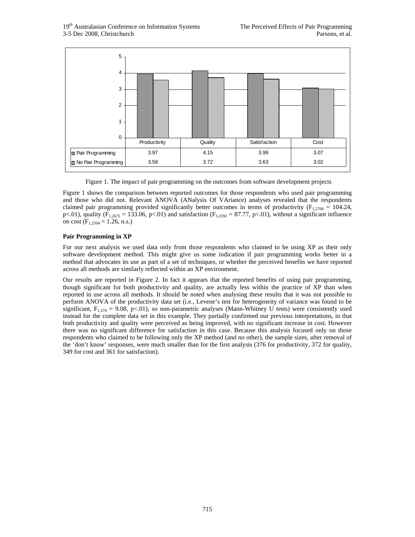

Figure 1. The impact of pair programming on the outcomes from software development projects

Figure 1 shows the comparison between reported outcomes for those respondents who used pair programming and those who did not. Relevant ANOVA (ANalysis Of VAriance) analyses revealed that the respondents claimed pair programming provided significantly better outcomes in terms of productivity ( $F_{1,2708} = 104.24$ , p<.01), quality (F<sub>1,2675</sub> = 133.06, p<.01) and satisfaction (F<sub>1,2592</sub> = 87.77, p<.01), without a significant influence on cost  $(F_{1,2504} = 1.26, n.s.)$ 

### **Pair Programming in XP**

For our next analysis we used data only from those respondents who claimed to be using XP as their only software development method. This might give us some indication if pair programming works better in a method that advocates its use as part of a set of techniques, or whether the perceived benefits we have reported across all methods are similarly reflected within an XP environment.

Our results are reported in Figure 2. In fact it appears that the reported benefits of using pair programming, though significant for both productivity and quality, are actually less within the practice of XP than when reported in use across all methods. It should be noted when analysing these results that it was not possible to perform ANOVA of the productivity data set (i.e., Levene's test for heterogeneity of variance was found to be significant,  $F_{1,374} = 9.08$ , p<.01), so non-parametric analyses (Mann-Whitney U tests) were consistently used instead for the complete data set in this example. They partially confirmed our previous interpretations, in that both productivity and quality were perceived as being improved, with no significant increase in cost. However there was no significant difference for satisfaction in this case. Because this analysis focused only on those respondents who claimed to be following only the XP method (and no other), the sample sizes, after removal of the 'don't know' responses, were much smaller than for the first analysis (376 for productivity, 372 for quality, 349 for cost and 361 for satisfaction).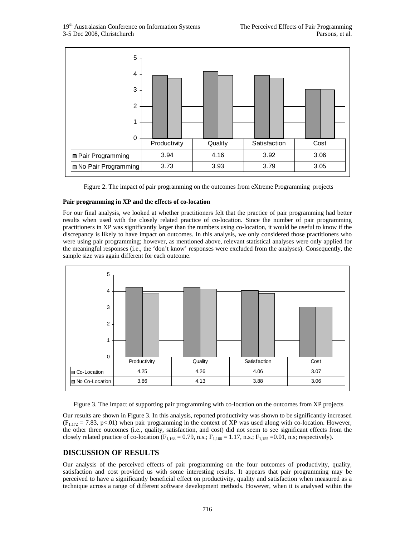| 5<br>$\overline{4}$<br>3<br>$\overline{2}$<br>1 |              |         |              |      |
|-------------------------------------------------|--------------|---------|--------------|------|
| $\mathbf 0$                                     | Productivity | Quality | Satisfaction | Cost |
| <b>□ Pair Programming</b>                       | 3.94         | 4.16    | 3.92         | 3.06 |
| No Pair Programming                             | 3.73         | 3.93    | 3.79         | 3.05 |

Figure 2. The impact of pair programming on the outcomes from eXtreme Programming projects

### **Pair programming in XP and the effects of co-location**

For our final analysis, we looked at whether practitioners felt that the practice of pair programming had better results when used with the closely related practice of co-location. Since the number of pair programming practitioners in XP was significantly larger than the numbers using co-location, it would be useful to know if the discrepancy is likely to have impact on outcomes. In this analysis, we only considered those practitioners who were using pair programming; however, as mentioned above, relevant statistical analyses were only applied for the meaningful responses (i.e., the 'don't know' responses were excluded from the analyses). Consequently, the sample size was again different for each outcome.



Figure 3. The impact of supporting pair programming with co-location on the outcomes from XP projects

Our results are shown in Figure 3. In this analysis, reported productivity was shown to be significantly increased  $(F<sub>1,172</sub> = 7.83, p<.01)$  when pair programming in the context of XP was used along with co-location. However, the other three outcomes (i.e., quality, satisfaction, and cost) did not seem to see significant effects from the closely related practice of co-location ( $F_{1,168} = 0.79$ , n.s.;  $F_{1,166} = 1.17$ , n.s.;  $F_{1,155} = 0.01$ , n.s; respectively).

## **DISCUSSION OF RESULTS**

Our analysis of the perceived effects of pair programming on the four outcomes of productivity, quality, satisfaction and cost provided us with some interesting results. It appears that pair programming may be perceived to have a significantly beneficial effect on productivity, quality and satisfaction when measured as a technique across a range of different software development methods. However, when it is analysed within the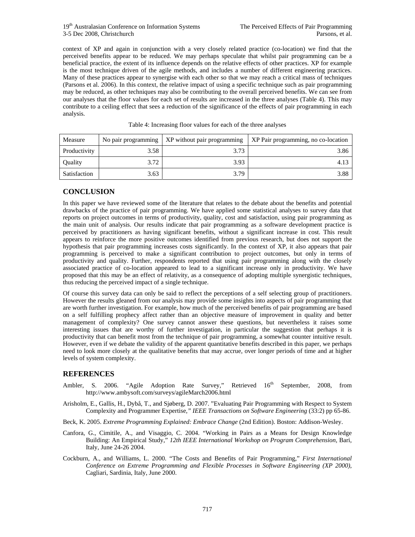### 19<sup>th</sup> Australasian Conference on Information Systems The Perceived Effects of Pair Programming 3-5 Dec 2008, Christchurch Parsons, et al.

context of XP and again in conjunction with a very closely related practice (co-location) we find that the perceived benefits appear to be reduced. We may perhaps speculate that whilst pair programming can be a beneficial practice, the extent of its influence depends on the relative effects of other practices. XP for example is the most technique driven of the agile methods, and includes a number of different engineering practices. Many of these practices appear to synergise with each other so that we may reach a critical mass of techniques (Parsons et al. 2006). In this context, the relative impact of using a specific technique such as pair programming may be reduced, as other techniques may also be contributing to the overall perceived benefits. We can see from our analyses that the floor values for each set of results are increased in the three analyses (Table 4). This may contribute to a ceiling effect that sees a reduction of the significance of the effects of pair programming in each analysis.

| Measure        |      | No pair programming $\vert$ XP without pair programming | XP Pair programming, no co-location |
|----------------|------|---------------------------------------------------------|-------------------------------------|
| Productivity   | 3.58 | 3.73                                                    | 3.86                                |
| <b>Quality</b> | 3.72 | 3.93                                                    | 4.13                                |
| Satisfaction   | 3.63 | 3.79                                                    | 3.88                                |

Table 4: Increasing floor values for each of the three analyses

## **CONCLUSION**

In this paper we have reviewed some of the literature that relates to the debate about the benefits and potential drawbacks of the practice of pair programming. We have applied some statistical analyses to survey data that reports on project outcomes in terms of productivity, quality, cost and satisfaction, using pair programming as the main unit of analysis. Our results indicate that pair programming as a software development practice is perceived by practitioners as having significant benefits, without a significant increase in cost. This result appears to reinforce the more positive outcomes identified from previous research, but does not support the hypothesis that pair programming increases costs significantly. In the context of XP, it also appears that pair programming is perceived to make a significant contribution to project outcomes, but only in terms of productivity and quality. Further, respondents reported that using pair programming along with the closely associated practice of co-location appeared to lead to a significant increase only in productivity. We have proposed that this may be an effect of relativity, as a consequence of adopting multiple synergistic techniques, thus reducing the perceived impact of a single technique.

Of course this survey data can only be said to reflect the perceptions of a self selecting group of practitioners. However the results gleaned from our analysis may provide some insights into aspects of pair programming that are worth further investigation. For example, how much of the perceived benefits of pair programming are based on a self fulfilling prophecy affect rather than an objective measure of improvement in quality and better management of complexity? One survey cannot answer these questions, but nevertheless it raises some interesting issues that are worthy of further investigation, in particular the suggestion that perhaps it is productivity that can benefit most from the technique of pair programming, a somewhat counter intuitive result. However, even if we debate the validity of the apparent quantitative benefits described in this paper, we perhaps need to look more closely at the qualitative benefits that may accrue, over longer periods of time and at higher levels of system complexity.

## **REFERENCES**

- Ambler, S. 2006. "Agile Adoption Rate Survey," Retrieved  $16<sup>th</sup>$  September, 2008, from http://www.ambysoft.com/surveys/agileMarch2006.html
- Arisholm, E., Gallis, H., Dybå, T., and Sjøberg, D. 2007. "Evaluating Pair Programming with Respect to System Complexity and Programmer Expertise*," IEEE Transactions on Software Engineering* (33:2) pp 65-86.
- Beck, K. 2005. *Extreme Programming Explained: Embrace Change* (2nd Edition). Boston: Addison-Wesley.
- Canfora, G., Cimitile, A., and Visaggio, C. 2004. "Working in Pairs as a Means for Design Knowledge Building: An Empirical Study," *12th IEEE International Workshop on Program Comprehension*, Bari, Italy, June 24-26 2004.
- Cockburn, A., and Williams, L. 2000. "The Costs and Benefits of Pair Programming," *First International Conference on Extreme Programming and Flexible Processes in Software Engineering (XP 2000)*, Cagliari, Sardinia, Italy, June 2000.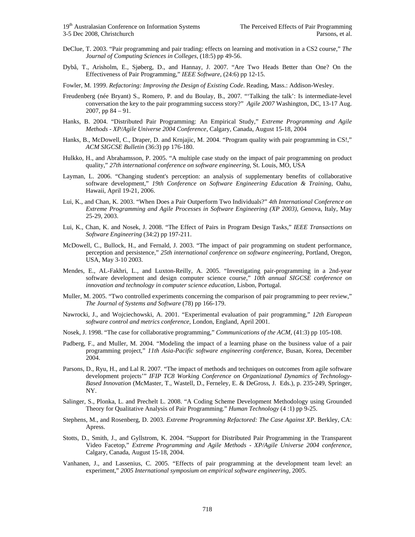- DeClue, T. 2003. "Pair programming and pair trading: effects on learning and motivation in a CS2 course," *The Journal of Computing Sciences in Colleges*, (18:5) pp 49-56.
- Dybå, T., Arisholm, E., Sjøberg, D., and Hannay, J. 2007. "Are Two Heads Better than One? On the Effectiveness of Pair Programming," *IEEE Software*, (24:6) pp 12-15.

Fowler, M. 1999. *Refactoring: Improving the Design of Existing Code*. Reading, Mass.: Addison-Wesley.

- Freudenberg (née Bryant) S., Romero, P. and du Boulay, B., 2007. "'Talking the talk': Is intermediate-level conversation the key to the pair programming success story?" *Agile 2007* Washington, DC, 13-17 Aug. 2007, pp 84 – 91.
- Hanks, B. 2004. "Distributed Pair Programming: An Empirical Study," *Extreme Programming and Agile Methods - XP/Agile Universe 2004 Conference*, Calgary, Canada, August 15-18, 2004
- Hanks, B., McDowell, C., Draper, D. and Krnjajic, M. 2004. "Program quality with pair programming in CS!," *ACM SIGCSE Bulletin* (36:3) pp 176-180.
- Hulkko, H., and Abrahamsson, P. 2005. "A multiple case study on the impact of pair programming on product quality," *27th international conference on software engineering*, St. Louis, MO, USA
- Layman, L. 2006. "Changing student's perception: an analysis of supplementary benefits of collaborative software development," *19th Conference on Software Engineering Education & Training*, Oahu, Hawaii, April 19-21, 2006.
- Lui, K., and Chan, K. 2003. "When Does a Pair Outperform Two Individuals?" *4th International Conference on Extreme Programming and Agile Processes in Software Engineering (XP 2003)*, Genova, Italy, May 25-29, 2003.
- Lui, K., Chan, K. and Nosek, J. 2008. "The Effect of Pairs in Program Design Tasks," *IEEE Transactions on Software Engineering* (34:2) pp 197-211.
- McDowell, C., Bullock, H., and Fernald, J. 2003. "The impact of pair programming on student performance, perception and persistence," *25th international conference on software engineering*, Portland, Oregon, USA, May 3-10 2003.
- Mendes, E., AL-Fakhri, L., and Luxton-Reilly, A. 2005. "Investigating pair-programming in a 2nd-year software development and design computer science course," *10th annual SIGCSE conference on innovation and technology in computer science education*, Lisbon, Portugal.
- Muller, M. 2005. "Two controlled experiments concerning the comparison of pair programming to peer review," *The Journal of Systems and Software* (78) pp 166-179.
- Nawrocki, J., and Wojciechowski, A. 2001. "Experimental evaluation of pair programming," *12th European software control and metrics conference*, London, England, April 2001.
- Nosek, J. 1998. "The case for collaborative programming," *Communications of the ACM*, (41:3) pp 105-108.
- Padberg, F., and Muller, M. 2004. "Modeling the impact of a learning phase on the business value of a pair programming project," *11th Asia-Pacific software engineering conference*, Busan, Korea, December 2004.
- Parsons, D., Ryu, H., and Lal R. 2007. "The impact of methods and techniques on outcomes from agile software development projects'" *IFIP TC8 Working Conference on Organizational Dynamics of Technology-Based Innovation* (McMaster, T., Wastell, D., Ferneley, E. & DeGross, J. Eds.), p. 235-249, Springer, NY.
- Salinger, S., Plonka, L. and Prechelt L. 2008. "A Coding Scheme Development Methodology using Grounded Theory for Qualitative Analysis of Pair Programming." *Human Technology* (4 :1) pp 9-25.
- Stephens, M., and Rosenberg, D. 2003. *Extreme Programming Refactored: The Case Against XP*. Berkley, CA: Apress.
- Stotts, D., Smith, J., and Gyllstrom, K. 2004. "Support for Distributed Pair Programming in the Transparent Video Facetop," *Extreme Programming and Agile Methods - XP/Agile Universe 2004 conference*, Calgary, Canada, August 15-18, 2004.
- Vanhanen, J., and Lassenius, C. 2005. "Effects of pair programming at the development team level: an experiment," *2005 International symposium on empirical software engineering*, 2005.